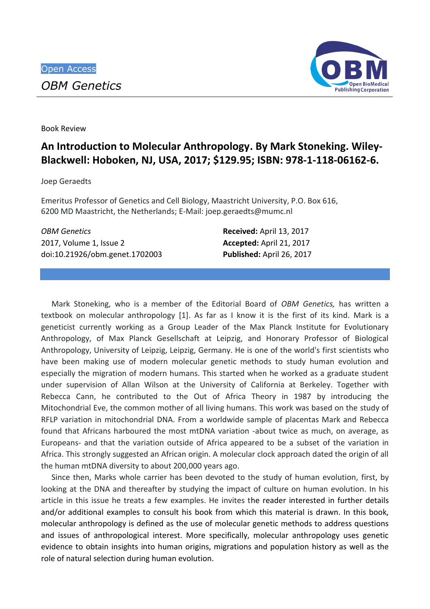## *OBM Genetics*



Book Review

## **An Introduction to Molecular Anthropology. By Mark Stoneking. Wiley-Blackwell: Hoboken, NJ, USA, 2017; \$129.95; ISBN: 978-1-118-06162-6.**

Joep Geraedts

Emeritus Professor of Genetics and Cell Biology, Maastricht University, P.O. Box 616, 6200 MD Maastricht, the Netherlands; E-Mail: joep.geraedts@mumc.nl

| OBM Genetics                   | Received: April 13, 2017  |
|--------------------------------|---------------------------|
| 2017, Volume 1, Issue 2        | Accepted: April 21, 2017  |
| doi:10.21926/obm.genet.1702003 | Published: April 26, 2017 |

Mark Stoneking, who is a member of the Editorial Board of *OBM Genetics,* has written a textbook on molecular anthropology [1]. As far as I know it is the first of its kind. Mark is a geneticist currently working as a Group Leader of the Max Planck Institute for Evolutionary Anthropology, of Max Planck Gesellschaft at Leipzig, and Honorary Professor of Biological Anthropology, University of Leipzig, Leipzig, Germany. He is one of the world's first scientists who have been making use of modern molecular genetic methods to study human evolution and especially the migration of modern humans. This started when he worked as a graduate student under supervision of Allan Wilson at the University of California at Berkeley. Together with Rebecca Cann, he contributed to the Out of Africa Theory in 1987 by introducing the Mitochondrial Eve, the common mother of all living humans. This work was based on the study of RFLP variation in mitochondrial DNA. From a worldwide sample of placentas Mark and Rebecca found that Africans harboured the most mtDNA variation -about twice as much, on average, as Europeans- and that the variation outside of Africa appeared to be a subset of the variation in Africa. This strongly suggested an African origin. A molecular clock approach dated the origin of all the human mtDNA diversity to about 200,000 years ago.

Since then, Marks whole carrier has been devoted to the study of human evolution, first, by looking at the DNA and thereafter by studying the impact of culture on human evolution. In his article in this issue he treats a few examples. He invites the reader interested in further details and/or additional examples to consult his book from which this material is drawn. In this book, molecular anthropology is defined as the use of molecular genetic methods to address questions and issues of anthropological interest. More specifically, molecular anthropology uses genetic evidence to obtain insights into human origins, migrations and population history as well as the role of natural selection during human evolution.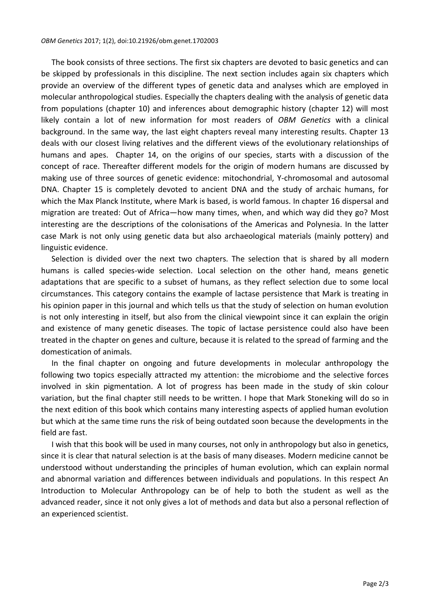The book consists of three sections. The first six chapters are devoted to basic genetics and can be skipped by professionals in this discipline. The next section includes again six chapters which provide an overview of the different types of genetic data and analyses which are employed in molecular anthropological studies. Especially the chapters dealing with the analysis of genetic data from populations (chapter 10) and inferences about demographic history (chapter 12) will most likely contain a lot of new information for most readers of *OBM Genetics* with a clinical background. In the same way, the last eight chapters reveal many interesting results. Chapter 13 deals with our closest living relatives and the different views of the evolutionary relationships of humans and apes. Chapter 14, on the origins of our species, starts with a discussion of the concept of race. Thereafter different models for the origin of modern humans are discussed by making use of three sources of genetic evidence: mitochondrial, Y-chromosomal and autosomal DNA. Chapter 15 is completely devoted to ancient DNA and the study of archaic humans, for which the Max Planck Institute, where Mark is based, is world famous. In chapter 16 dispersal and migration are treated: Out of Africa—how many times, when, and which way did they go? Most interesting are the descriptions of the colonisations of the Americas and Polynesia. In the latter case Mark is not only using genetic data but also archaeological materials (mainly pottery) and linguistic evidence.

Selection is divided over the next two chapters. The selection that is shared by all modern humans is called species-wide selection. Local selection on the other hand, means genetic adaptations that are specific to a subset of humans, as they reflect selection due to some local circumstances. This category contains the example of lactase persistence that Mark is treating in his opinion paper in this journal and which tells us that the study of selection on human evolution is not only interesting in itself, but also from the clinical viewpoint since it can explain the origin and existence of many genetic diseases. The topic of lactase persistence could also have been treated in the chapter on genes and culture, because it is related to the spread of farming and the domestication of animals.

In the final chapter on ongoing and future developments in molecular anthropology the following two topics especially attracted my attention: the microbiome and the selective forces involved in skin pigmentation. A lot of progress has been made in the study of skin colour variation, but the final chapter still needs to be written. I hope that Mark Stoneking will do so in the next edition of this book which contains many interesting aspects of applied human evolution but which at the same time runs the risk of being outdated soon because the developments in the field are fast.

I wish that this book will be used in many courses, not only in anthropology but also in genetics, since it is clear that natural selection is at the basis of many diseases. Modern medicine cannot be understood without understanding the principles of human evolution, which can explain normal and abnormal variation and differences between individuals and populations. In this respect An Introduction to Molecular Anthropology can be of help to both the student as well as the advanced reader, since it not only gives a lot of methods and data but also a personal reflection of an experienced scientist.